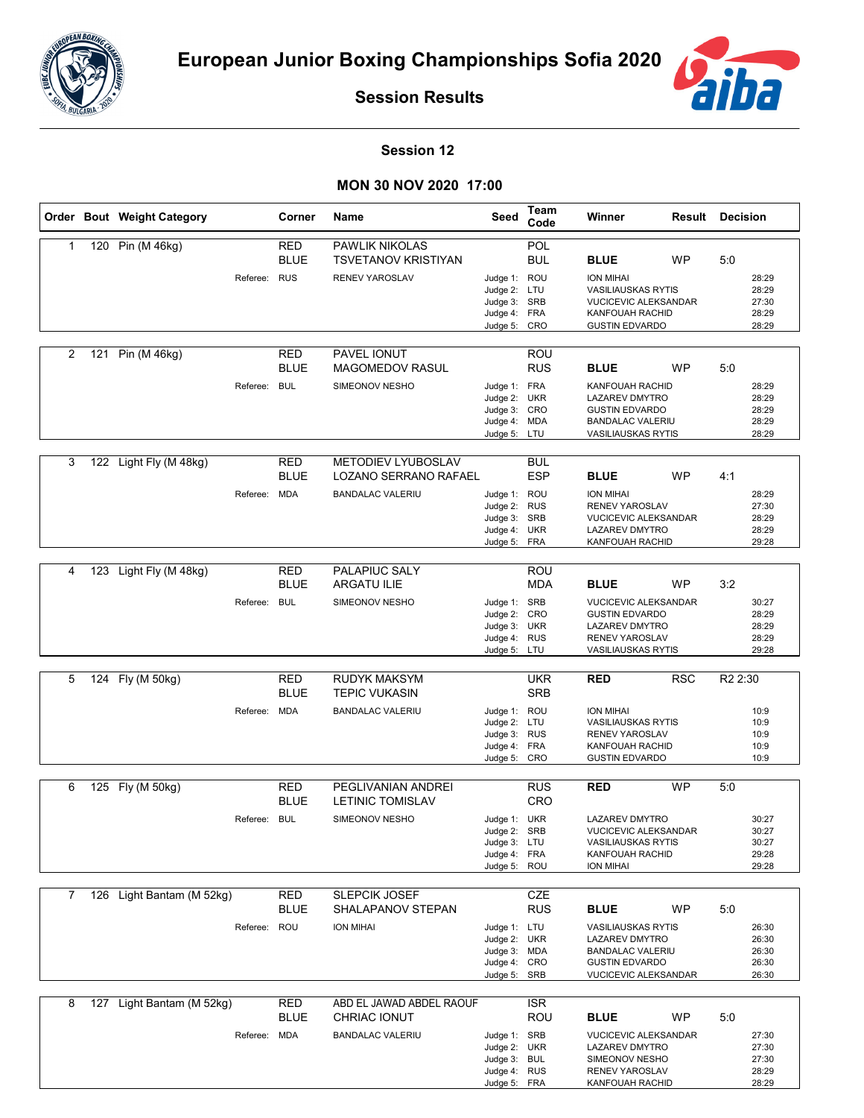



**Session Results**

## **Session 12**

## **MON 30 NOV 2020 17:00**

|                | Order Bout Weight Category |              | Corner                    | Name                                                                         | Seed                                                                         | Team<br>Code                                  | Winner                                                                                                                                             |            | <b>Result Decision</b> |                                           |
|----------------|----------------------------|--------------|---------------------------|------------------------------------------------------------------------------|------------------------------------------------------------------------------|-----------------------------------------------|----------------------------------------------------------------------------------------------------------------------------------------------------|------------|------------------------|-------------------------------------------|
| $\mathbf{1}$   | 120 Pin (M 46kg)           | Referee: RUS | <b>RED</b><br><b>BLUE</b> | <b>PAWLIK NIKOLAS</b><br><b>TSVETANOV KRISTIYAN</b><br><b>RENEV YAROSLAV</b> | Judge 1: ROU<br>Judge 2: LTU<br>Judge 3: SRB<br>Judge 4: FRA                 | POL<br><b>BUL</b>                             | <b>BLUE</b><br><b>ION MIHAI</b><br><b>VASILIAUSKAS RYTIS</b><br><b>VUCICEVIC ALEKSANDAR</b><br><b>KANFOUAH RACHID</b>                              | WP         | 5:0                    | 28:29<br>28:29<br>27:30<br>28:29          |
| 2              | 121 Pin (M 46kg)           | Referee: BUL | RED<br><b>BLUE</b>        | PAVEL IONUT<br><b>MAGOMEDOV RASUL</b><br>SIMEONOV NESHO                      | Judge 5:<br>Judge 1: FRA<br>Judge 2: UKR<br>Judge 3: CRO                     | CRO<br>ROU<br><b>RUS</b>                      | <b>GUSTIN EDVARDO</b><br><b>BLUE</b><br>KANFOUAH RACHID<br><b>LAZAREV DMYTRO</b><br><b>GUSTIN EDVARDO</b>                                          | <b>WP</b>  | 5:0                    | 28:29<br>28:29<br>28:29<br>28:29          |
| 3              | 122 Light Fly (M 48kg)     |              | <b>RED</b>                | <b>METODIEV LYUBOSLAV</b>                                                    | Judge 4: MDA<br>Judge 5: LTU                                                 | <b>BUL</b>                                    | <b>BANDALAC VALERIU</b><br><b>VASILIAUSKAS RYTIS</b>                                                                                               |            |                        | 28:29<br>28:29                            |
|                |                            | Referee: MDA | <b>BLUE</b>               | LOZANO SERRANO RAFAEL<br><b>BANDALAC VALERIU</b>                             | Judge 1: ROU<br>Judge 2:<br>Judge 3: SRB<br>Judge 4: UKR<br>Judge 5: FRA     | <b>ESP</b><br><b>RUS</b>                      | <b>BLUE</b><br><b>ION MIHAI</b><br>RENEV YAROSLAV<br><b>VUCICEVIC ALEKSANDAR</b><br><b>LAZAREV DMYTRO</b><br>KANFOUAH RACHID                       | <b>WP</b>  | 4:1                    | 28:29<br>27:30<br>28:29<br>28:29<br>29:28 |
| 4              | 123 Light Fly (M 48kg)     | Referee: BUL | RED<br><b>BLUE</b>        | PALAPIUC SALY<br><b>ARGATU ILIE</b><br>SIMEONOV NESHO                        | Judge 1: SRB<br>Judge 2: CRO<br>Judge 3: UKR<br>Judge 4: RUS<br>Judge 5: LTU | ROU<br><b>MDA</b>                             | <b>BLUE</b><br><b>VUCICEVIC ALEKSANDAR</b><br><b>GUSTIN EDVARDO</b><br><b>LAZAREV DMYTRO</b><br><b>RENEV YAROSLAV</b><br><b>VASILIAUSKAS RYTIS</b> | <b>WP</b>  | 3:2                    | 30:27<br>28:29<br>28:29<br>28:29<br>29:28 |
| 5              | 124 Fly (M 50kg)           | Referee: MDA | RED<br><b>BLUE</b>        | <b>RUDYK MAKSYM</b><br><b>TEPIC VUKASIN</b><br><b>BANDALAC VALERIU</b>       | Judge 1: ROU<br>Judge 2: LTU<br>Judge 3:<br>Judge 4: FRA<br>Judge 5:         | <b>UKR</b><br><b>SRB</b><br><b>RUS</b><br>CRO | <b>RED</b><br><b>ION MIHAI</b><br><b>VASILIAUSKAS RYTIS</b><br>RENEV YAROSLAV<br>KANFOUAH RACHID<br><b>GUSTIN EDVARDO</b>                          | <b>RSC</b> | R <sub>2</sub> 2:30    | 10:9<br>10:9<br>10:9<br>10:9<br>10:9      |
| 6              | 125 Fly (M 50kg)           | Referee: BUL | RED<br><b>BLUE</b>        | PEGLIVANIAN ANDREI<br><b>LETINIC TOMISLAV</b><br>SIMEONOV NESHO              | Judge 1: UKR<br>Judge 2: SRB<br>Judge 3: LTU<br>Judge 4: FRA<br>Judge 5: ROU | <b>RUS</b><br>CRO                             | <b>RED</b><br><b>LAZAREV DMYTRO</b><br>VUCICEVIC ALEKSANDAR<br><b>VASILIAUSKAS RYTIS</b><br>KANFOUAH RACHID<br><b>ION MIHAI</b>                    | <b>WP</b>  | 5:0                    | 30:27<br>30:27<br>30:27<br>29:28<br>29:28 |
| $\overline{7}$ | 126 Light Bantam (M 52kg)  | Referee: ROU | RED<br><b>BLUE</b>        | <b>SLEPCIK JOSEF</b><br>SHALAPANOV STEPAN<br><b>ION MIHAI</b>                | Judge 1: LTU<br>Judge 2: UKR<br>Judge 3: MDA<br>Judge 4: CRO<br>Judge 5: SRB | CZE<br><b>RUS</b>                             | <b>BLUE</b><br><b>VASILIAUSKAS RYTIS</b><br>LAZAREV DMYTRO<br><b>BANDALAC VALERIU</b><br><b>GUSTIN EDVARDO</b><br>VUCICEVIC ALEKSANDAR             | <b>WP</b>  | 5:0                    | 26:30<br>26:30<br>26:30<br>26:30<br>26:30 |
| 8              | 127 Light Bantam (M 52kg)  | Referee: MDA | RED<br><b>BLUE</b>        | ABD EL JAWAD ABDEL RAOUF<br>CHRIAC IONUT<br><b>BANDALAC VALERIU</b>          | Judge 1: SRB<br>Judge 2: UKR<br>Judge 3: BUL<br>Judge 4: RUS                 | <b>ISR</b><br>ROU                             | <b>BLUE</b><br><b>VUCICEVIC ALEKSANDAR</b><br>LAZAREV DMYTRO<br>SIMEONOV NESHO<br>RENEV YAROSLAV                                                   | WP         | 5:0                    | 27:30<br>27:30<br>27:30<br>28:29          |

Judge 5:

FRA

KANFOUAH RACHID

28:29